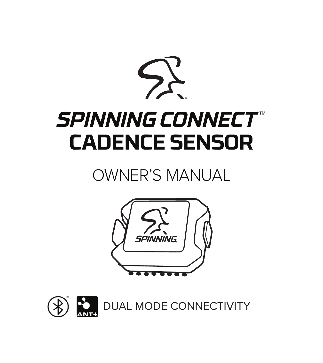# *SPINNINGCONNECT*™ **CADENCE SENSOR**

## OWNER'S MANUAL



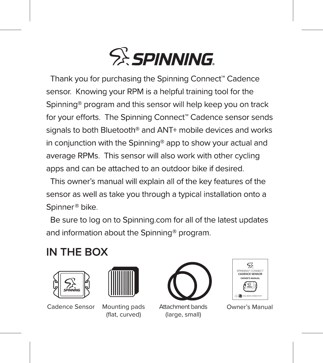

Thank you for purchasing the Spinning Connect" Cadence sensor. Knowing your RPM is a helpful training tool for the Spinning® program and this sensor will help keep you on track for your efforts. The Spinning Connect<sup>®</sup> Cadence sensor sends signals to both Bluetooth® and ANT+ mobile devices and works in conjunction with the Spinning® app to show your actual and average RPMs. This sensor will also work with other cycling apps and can be attached to an outdoor bike if desired.

This owner's manual will explain all of the key features of the sensor as well as take you through a typical installation onto a Spinner<sup>®</sup> bike.

Be sure to log on to Spinning.com for all of the latest updates and information about the Spinning® program.

## IN THE ROX





Cadence Sensor Mounting pads

(flat, curved)



Attachment bands (large, small)



Owner's Manual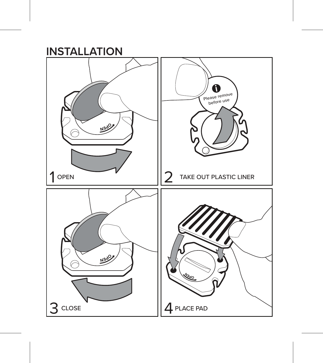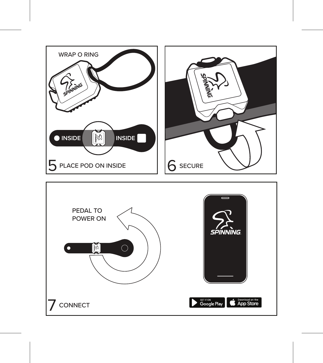

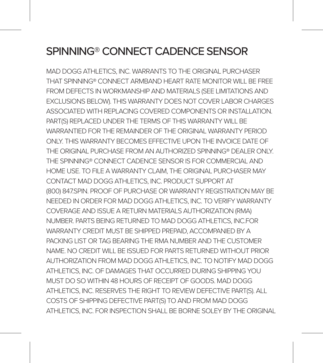## SPINNING® CONNECT CADENCE SENSOR

MAD DOGG ATHLETICS, INC. WARRANTS TO THE ORIGINAL PURCHASER THAT SPINNING® CONNECT ARMBAND HEART RATE MONITOR WILL BE FREE FROM DEFECTS IN WORKMANSHIP AND MATERIALS (SEE LIMITATIONS AND EXCLUSIONS BELOW). THIS WARRANTY DOES NOT COVER LABOR CHARGES ASSOCIATED WITH REPLACING COVERED COMPONENTS OR INSTALLATION. PART(S) REPLACED UNDER THE TERMS OF THIS WARRANTY WILL BE WARRANTIED FOR THE REMAINDER OF THE ORIGINAL WARRANTY PERIOD ONLY. THIS WARRANTY BECOMES EFFECTIVE UPON THE INVOICE DATE OF THE ORIGINAL PURCHASE FROM AN AUTHORIZED SPINNING® DEALER ONLY. THE SPINNING® CONNECT CADENCE SENSOR IS FOR COMMERCIAL AND HOME LISE. TO FILE A WARRANTY CLAIM, THE ORIGINAL PURCHASER MAY CONTACT MAD DOGG ATHLETICS, INC. PRODUCT SUPPORT AT (800) 847.SPIN. PROOF OF PURCHASE OR WARRANTY REGISTRATION MAY BE NEEDED IN ORDER FOR MAD DOGG ATHLETICS, INC. TO VERIFY WARRANTY COVERAGE AND ISSUE A RETURN MATERIALS AUTHORIZATION (RMA) NUMBER. PARTS BEING RETURNED TO MAD DOGG ATHLETICS, INC.FOR WARRANTY CREDIT MUST BE SHIPPED PREPAID, ACCOMPANIED BY A PACKING LIST OR TAG BEARING THE RMA NUMBER AND THE CUSTOMER NAME. NO CREDIT WILL BE ISSUED FOR PARTS RETURNED WITHOUT PRIOR AUTHORIZATION FROM MAD DOGG ATHLETICS, INC. TO NOTIFY MAD DOGG ATHLETICS, INC. OF DAMAGES THAT OCCURRED DURING SHIPPING YOU MUST DO SO WITHIN 48 HOURS OF RECEIPT OF GOODS. MAD DOGG ATHLETICS, INC. RESERVES THE RIGHT TO REVIEW DEFECTIVE PART(S). ALL COSTS OF SHIPPING DEFECTIVE PART(S) TO AND FROM MAD DOGG ATHI FTICS, INC. FOR INSPECTION SHALL BE BORNE SOLEY BY THE ORIGINAL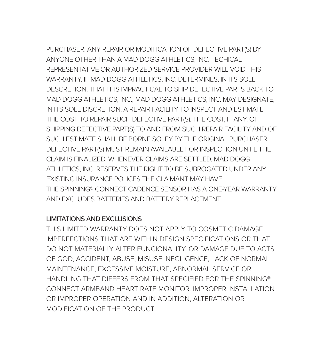PURCHASER. ANY REPAIR OR MODIFICATION OF DEFECTIVE PART(S) BY ANYONE OTHER THAN A MAD DOGG ATHLETICS, INC. TECHICAL REPRESENTATIVE OR AUTHORIZED SERVICE PROVIDER WILL VOID THIS WARRANTY. IF MAD DOGG ATHLETICS, INC. DETERMINES, IN ITS SOLE DESCRETION, THAT IT IS IMPRACTICAL TO SHIP DEFECTIVE PARTS BACK TO MAD DOGG ATHLETICS, INC., MAD DOGG ATHLETICS, INC. MAY DESIGNATE, IN ITS SOLE DISCRETION, A REPAIR FACILITY TO INSPECT AND ESTIMATE THE COST TO REPAIR SUCH DEFECTIVE PART(S). THE COST, IF ANY, OF SHIPPING DEFECTIVE PART(S) TO AND FROM SUCH REPAIR FACILITY AND OF SUCH ESTIMATE SHALL BE BORNE SOLEY BY THE ORIGINAL PURCHASER. DEFECTIVE PART(S) MUST REMAIN AVAILABLE FOR INSPECTION UNTIL THE CLAIM IS FINALIZED. WHENEVER CLAIMS ARE SETTLED, MAD DOGG ATHLETICS, INC. RESERVES THE RIGHT TO BE SUBROGATED UNDER ANY EXISTING INSURANCE POLICES THE CLAIMANT MAY HAVE. THE SPINNING® CONNECT CADENCE SENSOR HAS A ONE-YEAR WARRANTY AND EXCLUDES BATTERIES AND BATTERY REPLACEMENT.

#### LIMITATIONS AND EXCLUSIONS

THIS LIMITED WARRANTY DOES NOT APPLY TO COSMETIC DAMAGE, IMPERFECTIONS THAT ARE WITHIN DESIGN SPECIFICATIONS OR THAT DO NOT MATERIALLY ALTER FUNCIONALITY, OR DAMAGE DUE TO ACTS OF GOD, ACCIDENT, ABUSE, MISUSE, NEGLIGENCE, LACK OF NORMAL MAINTENANCE, EXCESSIVE MOISTURE, ABNORMAL SERVICE OR HANDLING THAT DIFFERS FROM THAT SPECIFIED FOR THE SPINNING® CONNECT ARMBAND HEART RATE MONITOR. IMPROPER INSTALLATION OR IMPROPER OPERATION AND IN ADDITION, ALTERATION OR MODIFICATION OF THE PRODUCT.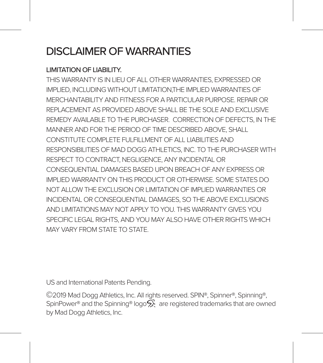### DISCLAIMER OF WARRANTIES

#### LIMITATION OF LIABILITY.

THIS WARRANTY IS IN LIEU OF ALL OTHER WARRANTIES, EXPRESSED OR IMPLIED, INCLUDING WITHOUT LIMITATION,THE IMPLIED WARRANTIES OF MERCHANTARILITY AND FITNESS FOR A PARTICULAR PURPOSE. REPAIR OR REPLACEMENT AS PROVIDED ABOVE SHALL BE THE SOLE AND EXCLUSIVE REMEDY AVAILABLE TO THE PURCHASER. CORRECTION OF DEFECTS, IN THE MANNER AND FOR THE PERIOD OF TIME DESCRIBED ABOVE, SHALL CONSTITUTE COMPLETE FULFILLMENT OF ALL LIABILITIES AND RESPONSIBILITIES OF MAD DOGG ATHLETICS, INC. TO THE PURCHASER WITH RESPECT TO CONTRACT NEGLIGENCE, ANY INCIDENTAL OR CONSEQUENTIAL DAMAGES BASED UPON BREACH OF ANY EXPRESS OR IMPLIED WARRANTY ON THIS PRODUCT OR OTHERWISE. SOME STATES DO NOT ALLOW THE EXCLUSION OR LIMITATION OF IMPLIED WARRANTIES OR INCIDENTAL OR CONSEQUENTIAL DAMAGES, SO THE ABOVE EXCLUSIONS AND LIMITATIONS MAY NOT APPLY TO YOU. THIS WARRANTY GIVES YOU SPECIFIC LEGAL RIGHTS, AND YOU MAY ALSO HAVE OTHER RIGHTS WHICH MAY VARY FROM STATE TO STATE.

US and International Patents Pending.

©2019 Mad Dogg Athletics, Inc. All rights reserved. SPIN®, Spinner®, Spinning®, SpinPower® and the Spinning® logo $\tilde{\mathsf{S}}$  are registered trademarks that are owned by Mad Dogg Athletics, Inc.